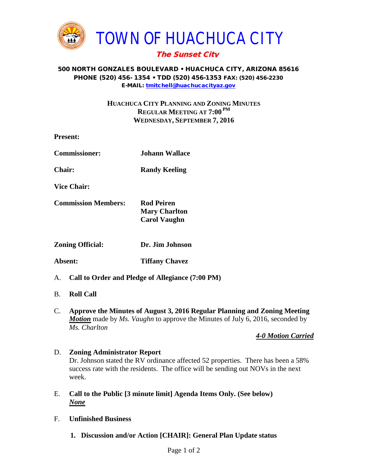

# The Sunset City

#### 500 NORTH GONZALES BOULEVARD • HUACHUCA CITY, ARIZONA 85616 PHONE (520) 456- 1354 • TDD (520) 456-1353 FAX: (520) 456-2230 E-MAIL: [tmitchell@huachucacityaz.gov](mailto:tmitchell@huachucacityaz.gov)

### **HUACHUCA CITY PLANNING AND ZONING MINUTES REGULAR MEETING AT 7:00 PM WEDNESDAY, SEPTEMBER 7, 2016**

| <b>Present:</b>            |                                                                  |
|----------------------------|------------------------------------------------------------------|
| <b>Commissioner:</b>       | Johann Wallace                                                   |
| <b>Chair:</b>              | <b>Randy Keeling</b>                                             |
| <b>Vice Chair:</b>         |                                                                  |
| <b>Commission Members:</b> | <b>Rod Peiren</b><br><b>Mary Charlton</b><br><b>Carol Vaughn</b> |
| <b>Zoning Official:</b>    | Dr. Jim Johnson                                                  |
| Absent:                    | <b>Tiffany Chavez</b>                                            |
|                            | A. Call to Order and Pledge of Allegiance (7:00 PM)              |

#### B. **Roll Call**

C. **Approve the Minutes of August 3, 2016 Regular Planning and Zoning Meeting** *Motion* made by *Ms. Vaughn* to approve the Minutes of July 6, 2016, seconded by *Ms. Charlton*

#### *4-0 Motion Carried*

### D. **Zoning Administrator Report** Dr. Johnson stated the RV ordinance affected 52 properties. There has been a 58% success rate with the residents. The office will be sending out NOVs in the next week.

- E. **Call to the Public [3 minute limit] Agenda Items Only. (See below)** *None*
- F. **Unfinished Business**
	- **1. Discussion and/or Action [CHAIR]: General Plan Update status**